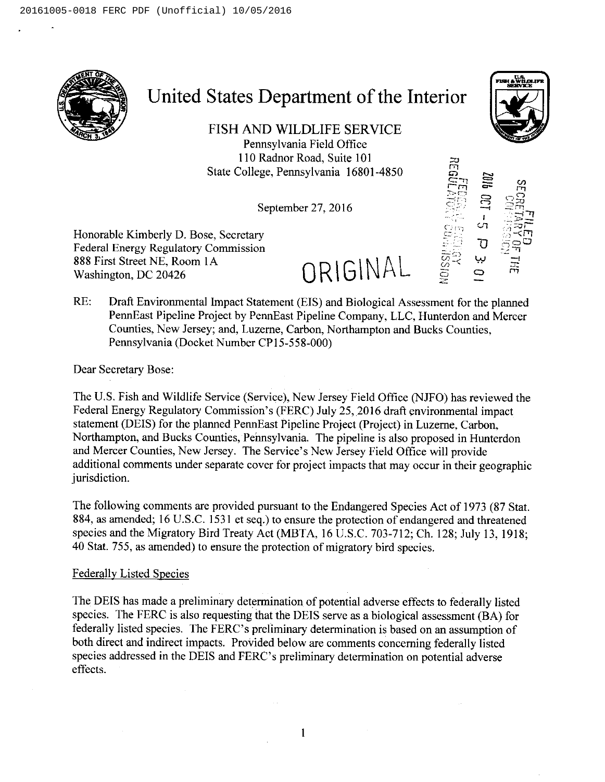

# United States Department of the Interior

FISH AND WILDLIFE SERVICE Pennsylvania Field Office 110Radnor Road, Suite 101 State College, Pennsylvania 16801-4850

September 27, 2016

Honorable Kimberly D. Bose, Secretary Federal Energy Regulatory Commission 888 First Street NE, Room IA 888 First Street NE, Room 1A<br>Washington, DC 20426  $\mathsf{ORIGNAL}$ 

 $\sigma$ នន្ត្  $\frac{1}{2}$ יך '1 ్ల సైద్  $\overline{\phantom{0}}$ Ô

r

FMI 4WILIRIPR **SERVICE** 

RE: Draft Environmental Impact Statement (EIS) and Biological Assessment for the planned PennEast Pipeline Project by PennEast Pipeline Company, LLC, Hunterdon and Mercer Counties, New Jersey; and, Luzerne, Carbon, Northampton and Bucks Counties, Pennsylvania (Docket Number CP15-558-000)

Dear Secretary Bose:

The U.S. Fish and Wildlife Service (Service), New Jersey Field Office (NJFO) has reviewed the Federal Energy Regulatory Commission's (FERC) July 25, 2016 draft environmental impact statement (DEIS) for the planned PennEast Pipeline Project (Project) in Luzerne, Carbon, Northampton, and Bucks Counties, Pennsylvania. The pipeline is also proposed in Hunterdon and Mercer Counties, New Jersey. The Service's New Jersey Field Office will provide additional comments under separate cover for project impacts that may occur in their geographic jurisdiction.

The following comments are provided pursuant to the Endangered Species Act of 1973 (87 Stat. 884, as amended; 16 U.S.C. 1531 et seq.) to ensure the protection of endangered and threatened species and the Migratory Bird Treaty Act (MBTA, 16 U.S.C. 703-712; Ch. 128; July 13, 1918; 40 Stat. 755, as amended) to ensure the protection of migratory bird species.

#### Federally Listed Species

The DEIS has made a preliminary determination of potential adverse effects to federally listed species. The FERC is also requesting that the DEIS serve as a biological assessment (BA) for federally listed species. The FERC's preliminary determination is based on an assumption of both direct and indirect impacts. Provided below are comments concerning federally listed species addressed in the DEIS and FERC's preliminary determination on potential adverse effects.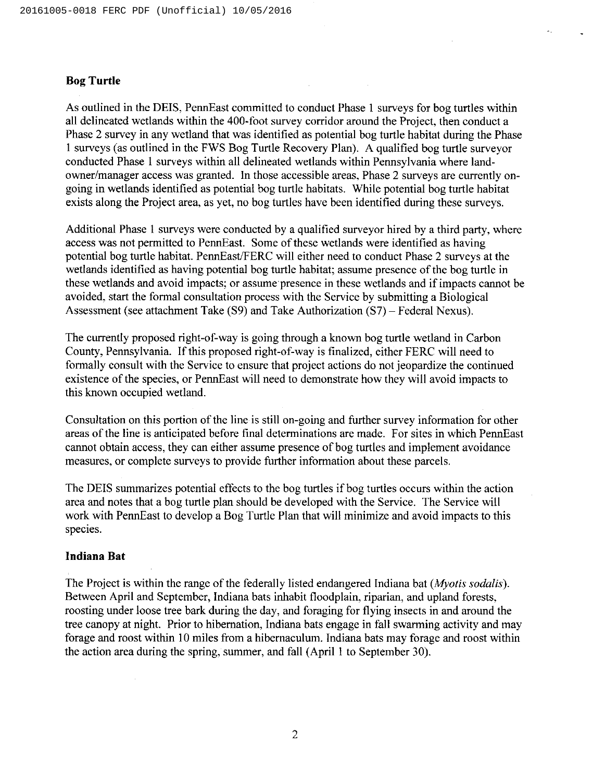### Bog Turtle

As outlined in the DEIS, PennEast committed to conduct Phase I surveys for bog turtles within all delineated wetlands within the 400-foot survey corridor around the Project, then conduct a Phase 2 survey in any wetland that was identified as potential bog turtle habitat during the Phase I surveys (as outlined in the FWS Bog Turtle Recovery Plan). A qualified bog turtle surveyor conducted Phase I surveys within all delineated wetlands within Pennsylvania where landowner/manager access was granted. In those accessible areas, Phase 2 surveys are currently ongoing in wetlands identified as potential bog turtle habitats. While potential bog turtle habitat exists along the Project area, as yet, no bog turtles have been identified during these surveys.

Additional Phase I surveys were conducted by a qualified surveyor hired by a third party, where access was not permitted to PennEast. Some of these wetlands were identified as having potential bog turtle habitat. PennEast/FERC will either need to conduct Phase 2 surveys at the wetlands identified as having potential bog turtle habitat; assume presence of the bog turtle in these wetlands and avoid impacts; or assume presence in these wetlands and if impacts cannot be avoided, start the formal consultation process with the Service by submitting a Biological Assessment (see attachment Take (S9) and Take Authorization (S7)—Federal Nexus).

The currently proposed right-of-way is going through a known bog turtle wetland in Carbon County, Pennsylvania. If this proposed right-of-way is finalized, either FERC will need to formally consult with the Service to ensure that project actions do not jeopardize the continued existence of the species, or PennEast will need to demonstrate how they will avoid impacts to this known occupied wetland.

Consultation on this portion of the line is still on-going and further survey information for other areas of the line is anticipated before final determinations are made. For sites in which PennEast cannot obtain access, they can either assume presence of bog turtles and implement avoidance measures, or complete surveys to provide further information about these parcels.

The DEIS summarizes potential effects to the bog turtles if bog turtles occurs within the action area and notes that a bog turtle plan should be developed with the Service. The Service will work with PennEast to develop a Bog Turtle Plan that will minimize and avoid impacts to this species.

## Indiana Bat

The Project is within the range of the federally listed endangered Indiana bat (*Myotis sodalis*). Between April and September, Indiana bats inhabit floodplain, riparian, and upland forests, roosting under loose tree bark during the day, and foraging for flying insects in and around the tree canopy at night. Prior to hibernation, Indiana bats engage in fall swarming activity and may forage and roost within 10 miles from a hibernaculum. Indiana bats may forage and roost within the action area during the spring, summer, and fall (April I to September 30).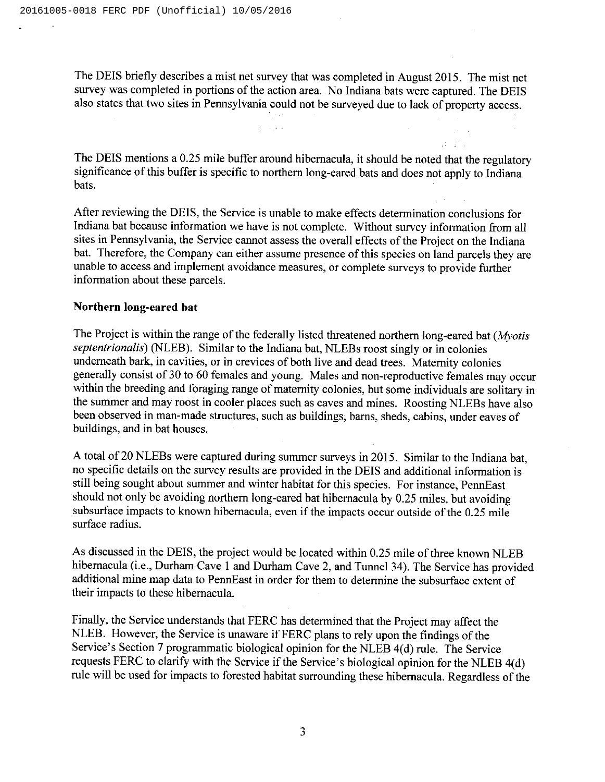The DEIS briefly describes a mist net survey that was completed in August 2015. The mist net survey was completed in portions of the action area. No Indiana bats were captured. The DEIS also states that two sites in Pennsylvania could not be surveyed due to lack of property access.

 $\hat{\mathcal{L}}_1(\hat{\mathbf{z}})$  is

The DEIS mentions a 0.25 mile buffer around hibernacula, it should be noted that the regulatory significance of this buffer is specific to northern long-eared bats and does not apply to Indiana bats.

After reviewing the DEIS, the Service is unable to make effects determination conclusions for Indiana bat because information we have is not complete. Without survey information from all sites in Pennsylvania, the Service cannot assess the overall effects of the Project on the Indiana bat. Therefore, the Company can either assume presence of this species on land parcels they are unable to access and implement avoidance measures, or complete surveys to provide further information about these parcels.

#### Northern long-eared bat

The Project is within the range of the federally listed threatened northern long-eared bat ( $M<sub>volis</sub>$ ) septentrionalis) (NLEB). Similar to the Indiana bat, NLEBs roost singly or in colonies underneath bark, in cavities, or in crevices of both live and dead trees. Maternity colonies generally consist of 30 to 60 females and young. Males and non-reproductive females may occur within the breeding and foraging range of maternity colonies, but some individuals are solitary in the summer and may roost in cooler places such as caves and mines. Roosting NLEBs have also been observed in man-made structures, such as buildings, barns, sheds, cabins, under eaves of buildings, and in bat houses.

A total of 20 NLEBs were captured during summer surveys in 2015. Similar to the Indiana bat, no specific details on the survey results are provided in the DEIS and additional information is still being sought about summer and winter habitat for this species. For instance, PennEast should not only be avoiding northern long-eared bat hibernacula by 0.25 miles, but avoiding subsurface impacts to known hibernacula, even if the impacts occur outside of the 0.25 mile surface radius.

As discussed in the DEIS, the project would be located within 0.25 mile of three known NLEB hibernacula (i.e., Durham Cave 1 and Durham Cave 2, and Tunnel 34). The Service has provided additional mine map data to PennEast in order for them to determine the subsurface extent of their impacts to these hibernacula.

Finally, the Service understands that FERC has determined that the Project may affect the NLEB. However, the Service is unaware if FERC plans to rely upon the findings of the Service's Section 7 programmatic biological opinion for the NLEB 4(d) rule. The Service requests FERC to clarify with the Service if the Service's biological opinion for the NLEB 4(d) rule will be used for impacts to forested habitat surrounding these hibernacula. Regardless of the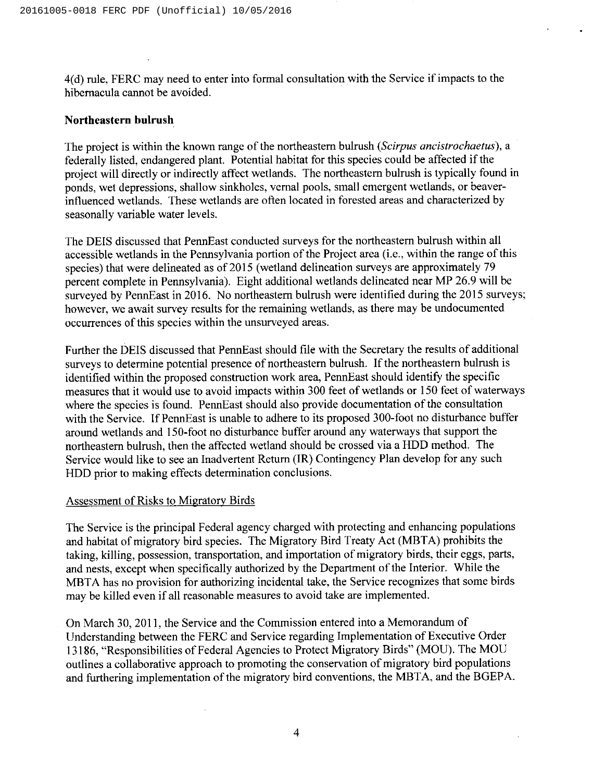4(d) rule, FERC may need to enter into formal consultation with the Service if impacts to the hibemacula cannot be avoided.

#### Northeastern bulrush

The project is within the known range of the northeastern bulrush (Scirpus ancistrochaetus), a federally listed, endangered plant. Potential habitat for this species could be affected if the project will directly or indirectly affect wetlands. The northeastern bulrush is typically found in ponds, wet depressions, shallow sinkholes, vernal pools, small emergent wetlands, or beaverinfluenced wetlands. These wetlands are often located in forested areas and characterized by seasonally variable water levels.

The DEIS discussed that PennEast conducted surveys for the northeastern bulrush within all accessible wetlands in the Pennsylvania portion of the Project area (i.e., within the range of this species) that were delineated as of 2015 (wetland delineation surveys are approximately 79 percent complete in Pennsylvania). Eight additional wetlands delineated near MP 26.9 will be surveyed by PennEast in 2016. No northeastern bulrush were identified during the 2015 surveys; however, we await survey results for the remaining wetlands, as there may be undocumented occurrences of this species within the unsurveyed areas.

Further the DEIS discussed that PennEast should file with the Secretary the results of additional surveys to determine potential presence of northeastern bulrush. If the northeastern bulrush is identified within the proposed construction work area, PennEast should identify the specific measures that it would use to avoid impacts within 300 feet of wetlands or 150 feet of waterways where the species is found. PennEast should also provide documentation of the consultation with the Service. If PennEast is unable to adhere to its proposed 300-foot no disturbance buffer around wetlands and 150-foot no disturbance buffer around any waterways that support the northeastern bulrush, then the affected wetland should be crossed via a HDD method. The Service would like to see an Inadvertent Return (IR) Contingency Plan develop for any such HDD prior to making effects determination conclusions.

#### Assessment of Risks to Migratory Birds

The Service is the principal Federal agency charged with protecting and enhancing populations and habitat of migratory bird species. The Migratory Bird Treaty Act (MBTA) prohibits the taking, killing, possession, transportation, and importation of migratory birds, their eggs, parts, and nests, except when specifically authorized by the Department of the Interior. While the MBTA has no provision for authorizing incidental take, the Service recognizes that some birds may be killed even if all reasonable measures to avoid take are implemented.

On March 30, 2011, the Service and the Commission entered into a Memorandum of Understanding between the FERC and Service regarding Implementation of Executive Order 13186, "Responsibilities of Federal Agencies to Protect Migratory Birds" (MOU). The MOU outlines a collaborative approach to promoting the conservation of migratory bird populations and furthering implementation of the migratory bird conventions, the MBTA, and the BGEPA.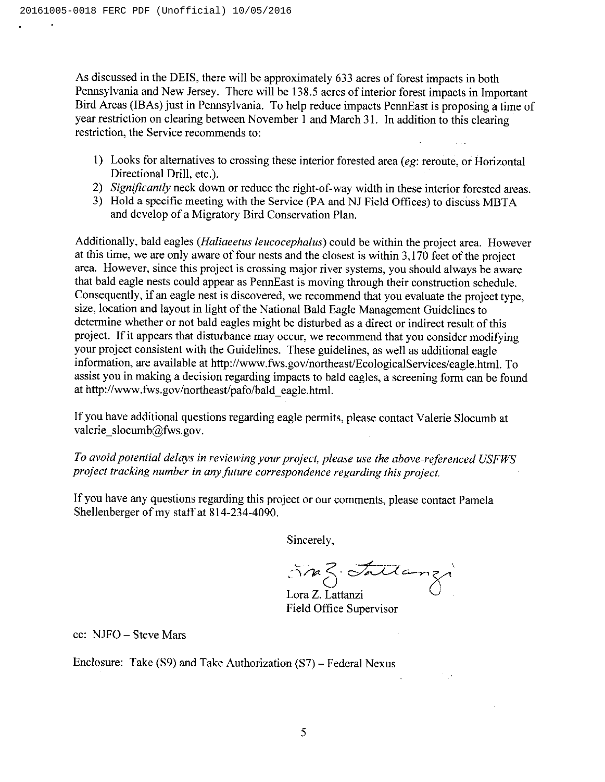As discussed in the DEIS, there will be approximately 633 acres of forest impacts in both Pennsylvania and New Jersey. There will be 138.5 acres of interior forest impacts in Important Bird Areas (IBAs) just in Pennsylvania. To help reduce impacts PennEast is proposing a time of year restriction on clearing between November I and March 31. In addition to this clearing restriction, the Service recommends to:

- I) Looks for alternatives to crossing these interior forested area (eg: reroute, or Horizontal Directional Drill, etc.).
- 2) Significantly neck down or reduce the right-of-way width in these interior forested areas.
- 3) Hold a specific meeting with the Service (PA and NJ Field Offices) to discuss MBTA and develop of a Migratory Bird Conservation Plan.

Additionally, bald eagles *(Haliaeetus leucocephalus)* could be within the project area. However at this time, we are only aware of four nests and the closest is within 3,170 feet of the project area. However, since this project is crossing major river systems, you should always be aware that bald eagle nests could appear as PennEast is moving through their construction schedule. Consequently, if an eagle nest is discovered, we recommend that you evaluate the project type, size, location and layout in light of the National Bald Eagle Management Guidelines to determine whether or not bald eagles might be disturbed as a direct or indirect result of this project. If it appears that disturbance may occur, we recommend that you consider modifying your project consistent with the Guidelines. These guidelines, as well as additional eagle information, are available at http: //www.fws.gov/northeast/EcologicalServices/eagle. html. To assist you in making a decision regarding impacts to bald eagles, a screening form can be found at http://www.fws.gov/northeast/pafo/bald eagle.html.

If you have additional questions regarding eagle permits, please contact Valerie Slocumb at valerie slocumb@fws.gov.

To avoid potential delays in reviewing your project, please use the above-referenced USFWS project tracking number in any future correspondence regarding this project.

If you have any questions regarding this project or our comments, please contact Pamela Shellenberger of my staff at 814-234-4090.

Sincerely,

Sne Z. Fallanzi

Field Office Supervisor

cc: NJFO —Steve Mars

Enclosure: Take (S9) and Take Authorization (S7)—Federal Nexus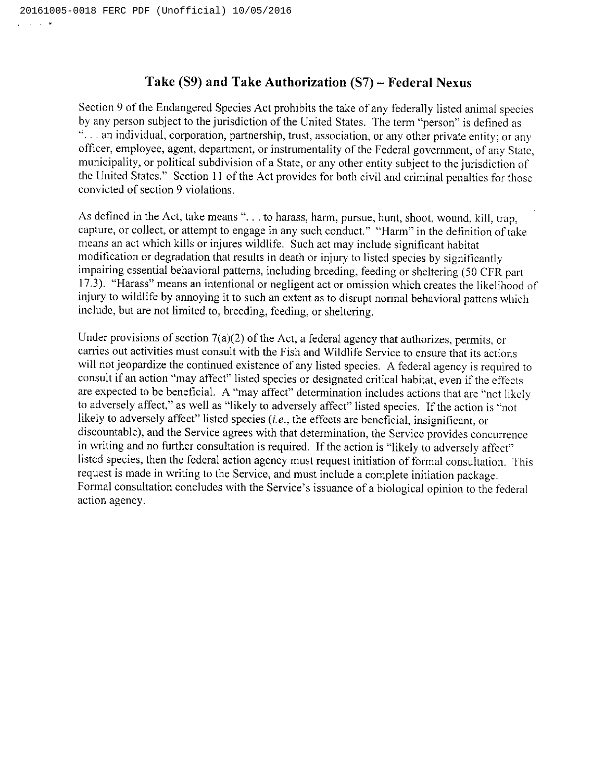# Take (S9) and Take Authorization (S7)—Federal Nexus

Section 9 of the Endangered Species Act prohibits the take of any federally listed animal species<br>by any person subject to the jurisdiction of the United States. The term "person" is defined as  $\ddots$  an individual, corporation, partnership, trust, association, or any other private entity; or any officer, employee, agent, department, or instrumentality of the Federal government, of any State, municipality, or political subdivision of a State, or any other entity subject to the jurisdiction United States." Section 11 of the Act provides for both civil and criminal penalties for those convicted of section 9 violations.

As defined in the Act, take means "... to harass, harm, pursue, hunt, shoot, wound, kill, trap, capture, or collect, or attempt to engage in any such conduct." "Harm" in the definition oftake means an act which kills or injures wildlife. Such act may include significant habitat modification or degradation that results in death or injury to listed species by signiticantly impairing essential behavioral patterns, including breeding, feeding or sheltering (50 CFR part 17.3). "Harass" means an intentional or negligent act or omission which creates the likelihood of injury to wildlife by annoying it to such an extent as to disrupt normal behavioral pattens which include, but are not limited to, breeding, feeding, or sheltering.

Under provisions of section 7(a)(2) of the Act, a federal agency that authorizes, permits, or carries out activities must consult with the Fish and Wildlife Service to ensure that its actions will not jeopardize the continued existence of any listed species. A federal agency is required to consult if an action "may affect" listed species or designated critical habitat, even if the effects are expected to be beneficial. A "may affect" determination includes actions that are "not likely to adversely affect," as well as "likely to adversely affect" listed species. If the action is "not likely to adversely affect" listed species (*i.e.*, the effects are beneficial, insignificant, or discountable), and the Service agrees with that determination, the Service provides concurrence in writing and no further consultation is required. If the action is "likely to adversely affect" listed species, then the federal action agency must request initiation of formal consultation. This request is made in writing to the Service, and must include a complete initiation package. Formal consultation concludes with the Service's issuance of a biological opinion to the federal action agency.